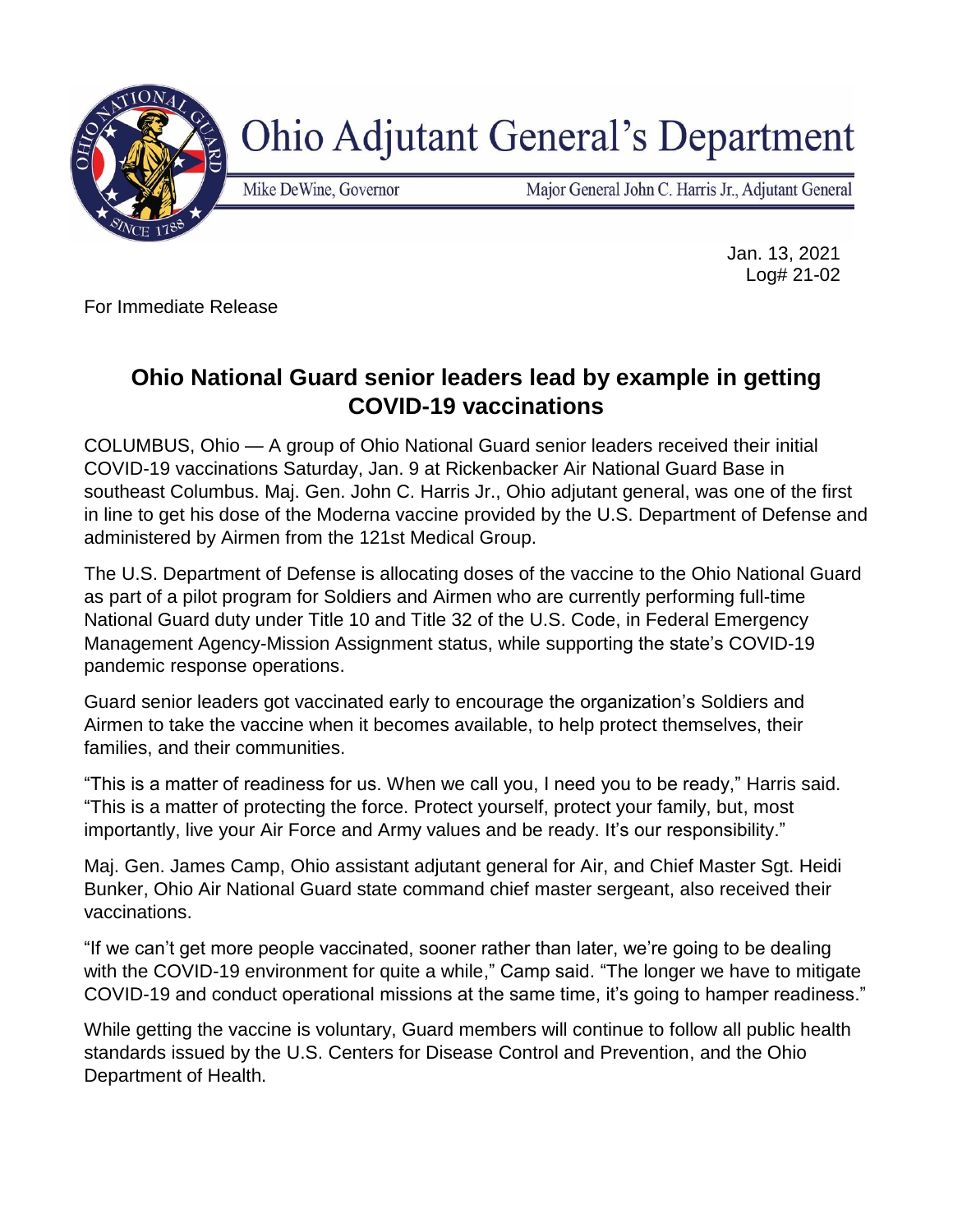

**Ohio Adjutant General's Department** 

Mike DeWine, Governor

Major General John C. Harris Jr., Adjutant General

Jan. 13, 2021 Log# 21-02

For Immediate Release

## **Ohio National Guard senior leaders lead by example in getting COVID-19 vaccinations**

COLUMBUS, Ohio — A group of Ohio National Guard senior leaders received their initial COVID-19 vaccinations Saturday, Jan. 9 at Rickenbacker Air National Guard Base in southeast Columbus. Maj. Gen. John C. Harris Jr., Ohio adjutant general, was one of the first in line to get his dose of the Moderna vaccine provided by the U.S. Department of Defense and administered by Airmen from the 121st Medical Group.

The U.S. Department of Defense is allocating doses of the vaccine to the Ohio National Guard as part of a pilot program for Soldiers and Airmen who are currently performing full-time National Guard duty under Title 10 and Title 32 of the U.S. Code, in Federal Emergency Management Agency-Mission Assignment status, while supporting the state's COVID-19 pandemic response operations.

Guard senior leaders got vaccinated early to encourage the organization's Soldiers and Airmen to take the vaccine when it becomes available, to help protect themselves, their families, and their communities.

"This is a matter of readiness for us. When we call you, I need you to be ready," Harris said. "This is a matter of protecting the force. Protect yourself, protect your family, but, most importantly, live your Air Force and Army values and be ready. It's our responsibility."

Maj. Gen. James Camp, Ohio assistant adjutant general for Air, and Chief Master Sgt. Heidi Bunker, Ohio Air National Guard state command chief master sergeant, also received their vaccinations.

"If we can't get more people vaccinated, sooner rather than later, we're going to be dealing with the COVID-19 environment for quite a while," Camp said. "The longer we have to mitigate COVID-19 and conduct operational missions at the same time, it's going to hamper readiness."

While getting the vaccine is voluntary, Guard members will continue to follow all public health standards issued by the U.S. Centers for Disease Control and Prevention, and the Ohio Department of Health.